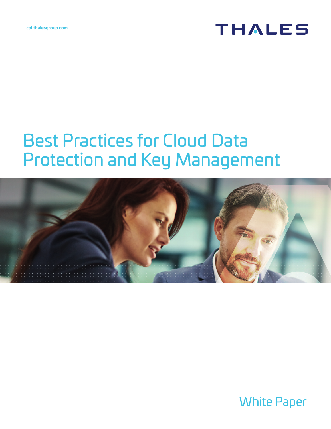### **THALES**

# Best Practices for Cloud Data Protection and Key Management



White Paper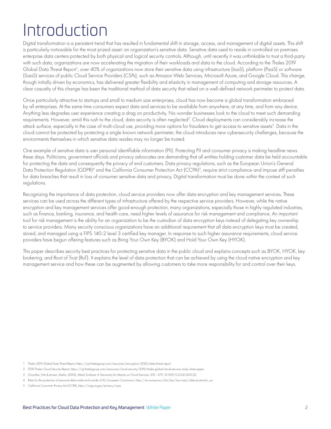# Introduction

Digital transformation is a persistent trend that has resulted in fundamental shift in storage, access, and management of digital assets. This shift is particularly noticeable for the most prized asset: an organization's sensitive data. Sensitive data used to reside in controlled on premises enterprise data centers protected by both physical and logical security controls. Although, until recently it was unthinkable to trust a third-party with such data, organizations are now accelerating the migration of their workloads and data to the cloud. According to the Thales 2019 Global Data Threat Report<sup>1</sup>, over 40% of organizations now store their sensitive data using infrastructure (laaS), platform (PaaS) or software (SaaS) services of public Cloud Service Providers (CSPs), such as Amazon Web Services, Microsoft Azure, and Google Cloud. This change, though initially driven by economics, has delivered greater flexibility and elasticity in management of computing and storage resources. A clear casualty of this change has been the traditional method of data security that relied on a well-defined network perimeter to protect data.

Once particularly attractive to startups and small to medium size enterprises, cloud has now become a global transformation embraced by all enterprises. At the same time consumers expect data and services to be available from anywhere, at any time, and from any device. Anything less degrades user experience creating a drag on productivity. No wonder businesses look to the cloud to meet such demanding requirements. However, amid this rush to the cloud, data security is often neglected<sup>2</sup>. Cloud deployments can considerably increase the attack surface, especially in the case of multi-cloud use, providing more options for fraudsters to get access to sensitive assets<sup>3</sup>. Data in the cloud cannot be protected by protecting a single known network perimeter; the cloud introduces new cybersecurity challenges, because the environments themselves in which sensitive data resides may no longer be trusted.

One example of sensitive data is user personal identifiable information (PII). Protecting PII and consumer privacy is making headline news these days. Politicians, government officials and privacy advocates are demanding that all entities holding customer data be held accountable for protecting the data and consequently the privacy of end customers. Data privacy regulations, such as the European Union's General Data Protection Regulation (GDPR)<sup>4</sup> and the California Consumer Protection Act (CCPA)<sup>5</sup>, require strict compliance and impose stiff penalties for data breaches that result in loss of consumer sensitive data and privacy. Digital transformation must be done within the context of such regulations.

Recognizing the importance of data protection, cloud service providers now offer data encryption and key management services. These services can be used across the different types of infrastructure offered by the respective service providers. However, while the native encryption and key management services offer good-enough protection, many organizations, especially those in highly regulated industries, such as finance, banking, insurance, and health care, need higher levels of assurance for risk management and compliance. An important tool for risk management is the ability for an organization to be the custodian of data encryption keys instead of delegating key ownership to service providers. Many security conscious organizations have an additional requirement that all data encryption keys must be created, stored, and managed using a FIPS 140-2 level 3 certified key manager. In response to such higher assurance requirements, cloud service providers have begun offering features such as Bring Your Own Key (BYOK) and Hold Your Own Key (HYOK).

This paper describes security best practices for protecting sensitive data in the public cloud and explains concepts such as BYOK, HYOK, key brokering, and Root of Trust (RoT). It explains the level of data protection that can be achieved by using the cloud native encryption and key management service and how these can be augmented by allowing customers to take more responsibility for and control over their keys.

1 Thales 2019 Global Data Threat Report, https://cpl.thalesgroup.com/resources/encryption/2020/data-threat-report

3 Gruschka, Nils & Jensen, Meiko. (2010). Attack Surfaces: A Taxonomy for Attacks on Cloud Services. 276 - 279. 10.1109/CLOUD.2010.23.

5 California Consumer Privacy Act (CCPA), https://oag.ca.gov/privacy/ccpa

<sup>2</sup> 2019 Thales Cloud Security Report, https://cpl.thalesgroup.com/resources/cloud-security/2019/thales-global-cloud-security-study-white-paper

<sup>4</sup> Rules for the protection of personal data inside and outside of EU, European Commission, https://ec.europa.eu/info/law/law-topic/data-protection\_en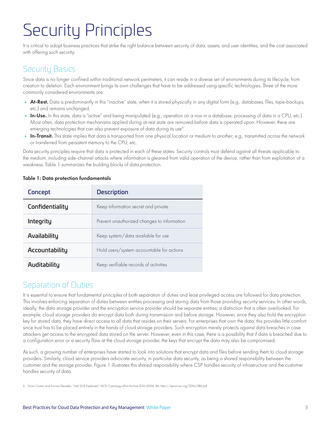# Security Principles

It is critical to adopt business practices that strike the right balance between security of data, assets, and user identities, and the cost associated with offering such security.

### Security Basics

Since data is no longer confined within traditional network perimeters, it can reside in a diverse set of environments during its lifecycle; from creation to deletion. Each environment brings its own challenges that have to be addressed using specific technologies. Three of the more commonly considered environments are:

- At-Rest. Data is predominantly in this "inactive" state, when it is stored physically in any digital form (e.g., databases, files, tape-backups, etc.) and remains unchanged.
- In-Use. In this state, data is "active" and being manipulated (e.g., operation on a row in a database, processing of data in a CPU, etc.). Most often, data protection mechanisms applied during at-rest state are removed before data is operated upon. However, there are emerging technologies that can also prevent exposure of data during its use<sup>6</sup>.
- In-Transit. This state implies that data is transported from one physical location or medium to another; e.g., transmitted across the network or transferred from persistent memory to the CPU, etc.

Data security principles require that data is protected in each of these states. Security controls must defend against all threats applicable to the medium, including side-channel attacks where information is gleaned from valid operation of the device, rather than from exploitation of a weakness. Table 1 summarizes the building blocks of data protection.

| Concept         | <b>Description</b>                          |
|-----------------|---------------------------------------------|
| Confidentiality | Keep information secret and private         |
| Integrity       | Prevent unauthorized changes to information |
| Availability    | Keep system/data available for use          |
| Accountability  | Hold users/system accountable for actions   |
| Auditability    | Keep verifiable records of activities       |

#### Table 1: Data protection fundamentals

#### Separation of Duties

It is essential to ensure that fundamental principles of both separation of duties and least privileged access are followed for data protection. This involves enforcing separation of duties between entities processing and storing data from those providing security services. In other words, ideally, the data storage provider and the encryption service provider should be separate entities; a distinction that is often overlooked. For example, cloud storage providers do encrypt data both during transmission and before storage. However, since they also hold the encryption key for stored data, they have direct access to all data that resides on their servers. For enterprises that own the data, this provides little comfort since trust has to be placed entirely in the hands of cloud storage providers. Such encryption merely protects against data breaches in case attackers get access to the encrypted data stored on the server. However, even in this case, there is a possibility that if data is breached due to a configuration error or a security flaw at the cloud storage provider, the keys that encrypt the data may also be compromised.

As such, a growing number of enterprises have started to look into solutions that encrypt data and files before sending them to cloud storage providers. Similarly, cloud service providers advocate security, in particular data security, as being a shared responsibility between the customer and the storage provider. Figure 1 illustrates this shared responsibility where CSP handles security of infrastructure and the customer handles security of data.

6 Victor Costan and Srinivas Devadas. "Intel SGX Explained." IACR Cryptology ePrint Archive 2016 (2016): 86. https://eprint.iacr.org/2016/086.pdf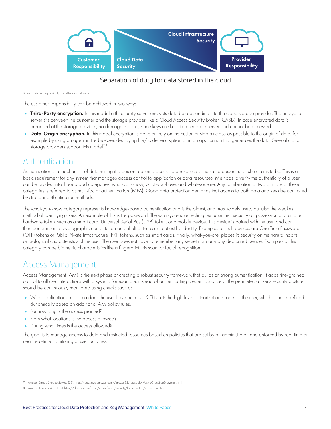

#### Separation of duty for data stored in the cloud

Figure 1: Shared responsibility model for cloud storage

The customer responsibility can be achieved in two ways:

- Third-Party encryption. In this model a third-party server encrypts data before sending it to the cloud storage provider. This encryption server sits between the customer and the storage provider, like a Cloud Access Security Broker (CASB). In case encrypted data is breached at the storage provider, no damage is done, since keys are kept in a separate server and cannot be accessed.
- Data-Origin encryption. In this model encryption is done entirely on the customer side as close as possible to the origin of data, for example by using an agent in the browser, deploying file/folder encryption or in an application that generates the data. Several cloud storage providers support this model<sup> $78$ </sup>.

#### Authentication  $\mathcal{L}(\mathcal{L})$

Authentication is a mechanism of determining if a person requiring access to a resource is the same person he or she claims to be. This is a basic requirement for any system that manages access control to application or data resources. Methods to verify the authenticity of a user can be divided into three broad categories: what-you-know, what-you-have, and what-you-are. Any combination of two or more of these categories is referred to as multi-factor authentication (MFA). Good data protection demands that access to both data and keys be controlled by stronger authentication methods.

The what-you-know category represents knowledge-based authentication and is the oldest, and most widely used, but also the weakest method of identifying users. An example of this is the password. The what-you-have techniques base their security on possession of a unique hardware token, such as a smart card, Universal Serial Bus (USB) token, or a mobile device. This device is paired with the user and can then perform some cryptographic computation on behalf of the user to attest his identity. Examples of such devices are One Time Password (OTP) tokens or Public Private Infrastructure (PKI) tokens, such as smart cards. Finally, what-you-are, places its security on the natural habits or homes of robile rivale inhabitative (riving lowers), such as sinan edias. Thiany, what you are, piaces its secony on the national nabilis<br>Or biological characteristics of the user. The user does not have to remember any category can be biometric characteristics like a fingerprint, iris scan, or facial recognition.

#### Access Management

Access Management (AM) is the next phase of creating a robust security framework that builds on strong authentication. It adds fine-grained control to all user interactions with a system. For example, instead of authenticating credentials once at the perimeter, a user's security posture should be continuously monitored using checks such as:

- What applications and data does the user have access to? This sets the high-level authorization scope for the user, which is further refined dynamically based on additional AM policy rules.
- **•** For how long is the access granted?
- **•** From what locations is the access allowed?
- **•** During what times is the access allowed?

The goal is to manage access to data and restricted resources based on policies that are set by an administrator, and enforced by real-time or near real-time monitoring of user activities.

<sup>7</sup> Amazon Simple Storage Service (S3), https://docs.aws.amazon.com/AmazonS3/latest/dev/UsingClientSideEncryption.html

<sup>8</sup> Azure date encryption at rest, https://docs.microsoft.com/en-us/azure/security/fundamentals/encryption-atrest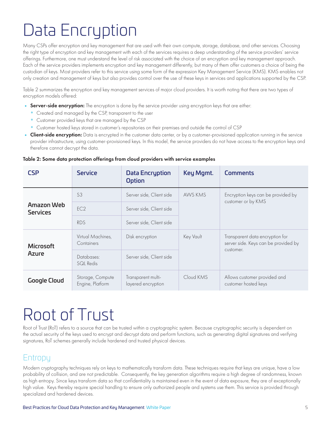# Data Encryption

Many CSPs offer encryption and key management that are used with their own compute, storage, database, and other services. Choosing the right type of encryption and key management with each of the services requires a deep understanding of the service providers' service offerings. Furthermore, one must understand the level of risk associated with the choice of an encryption and key management approach. Each of the service providers implements encryption and key management differently, but many of them offer customers a choice of being the custodian of keys. Most providers refer to this service using some form of the expression Key Management Service (KMS). KMS enables not only creation and management of keys but also provides control over the use of these keys in services and applications supported by the CSP.

Table 2 summarizes the encryption and key management services of major cloud providers. It is worth noting that there are two types of encryption models offered:

- Server-side encryption: The encryption is done by the service provider using encryption keys that are either:
	- **°** Created and managed by the CSP, transparent to the user
	- **°** Customer provided keys that are managed by the CSP
	- **°** Customer hosted keys stored in customer's repositories on their premises and outside the control of CSP
- Client-side encryption: Data is encrypted in the customer data center, or by a customer-provisioned application running in the service provider infrastructure, using customer-provisioned keys. In this model, the service providers do not have access to the encryption keys and therefore cannot decrypt the data.

#### Table 2: Some data protection offerings from cloud providers with service examples

| <b>CSP</b>                    | <b>Service</b>                       | <b>Data Encryption</b><br>Option         | Key Mgmt. | <b>Comments</b>                                                                      |  |  |
|-------------------------------|--------------------------------------|------------------------------------------|-----------|--------------------------------------------------------------------------------------|--|--|
| Amazon Web<br><b>Services</b> | S3                                   | AWS KMS<br>Server side, Client side      |           | Encryption keys can be provided by<br>customer or by KMS                             |  |  |
|                               | EC <sub>2</sub>                      | Server side, Client side                 |           |                                                                                      |  |  |
|                               | <b>RDS</b>                           | Server side, Client side                 |           |                                                                                      |  |  |
| <b>Microsoft</b><br>Azure     | Virtual Machines,<br>Containers      | Disk encryption                          | Key Vault | Transparent data encryption for<br>server side. Keys can be provided by<br>customer. |  |  |
|                               | Databases:<br>SQL Redis              | Server side, Client side                 |           |                                                                                      |  |  |
| <b>Google Cloud</b>           | Storage, Compute<br>Engine, Platform | Transparent multi-<br>layered encryption | Cloud KMS | Allows customer provided and<br>customer hosted keys                                 |  |  |

### Root of Trust

Root of Trust (RoT) refers to a source that can be trusted within a cryptographic system. Because cryptographic security is dependent on the actual security of the keys used to encrypt and decrypt data and perform functions, such as generating digital signatures and verifying signatures, RoT schemes generally include hardened and trusted physical devices.

#### **Entropy**

Modern cryptography techniques rely on keys to mathematically transform data. These techniques require that keys are unique, have a low probability of collision, and are not predictable. Consequently, the key generation algorithms require a high degree of randomness, known as high entropy. Since keys transform data so that confidentiality is maintained even in the event of data exposure, they are of exceptionally high value. Keys thereby require special handling to ensure only authorized people and systems use them. This service is provided through specialized and hardened devices.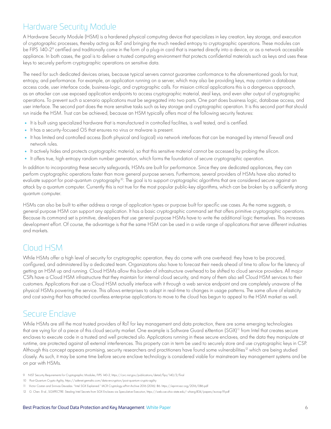### Hardware Security Module

A Hardware Security Module (HSM) is a hardened physical computing device that specializes in key creation, key storage, and execution of cryptographic processes, thereby acting as RoT and bringing the much needed entropy to cryptographic operations. These modules can be FIPS 140-2° certified and traditionally come in the form of a plug-in card that is inserted directly into a device, or as a network accessible appliance. In both cases, the goal is to deliver a trusted computing environment that protects confidential materials such as keys and uses these keys to securely perform cryptographic operations on sensitive data.

The need for such dedicated devices arises, because typical servers cannot guarantee conformance to the aforementioned goals for trust, entropy, and performance. For example, an application running on a server, which may also be providing keys, may contain a database access code, user interface code, business-logic, and cryptographic calls. For mission critical applications this is a dangerous approach, as an attacker can use exposed application endpoints to access cryptographic material, steal keys, and even alter output of cryptographic operations. To prevent such a scenario applications must be segregated into two parts. One part does business logic, database access, and user interface. The second part does the more sensitive tasks such as key storage and cryptographic operation. It is this second part that should run inside the HSM. Trust can be achieved, because an HSM typically offers most of the following security features:

- **•** It is built using specialized hardware that is manufactured in controlled facilities, is well tested, and is certified.
- **•** It has a security-focused OS that ensures no virus or malware is present.
- **•** It has limited and controlled access (both physical and logical) via network interfaces that can be managed by internal firewall and network rules.
- It actively hides and protects cryptographic material, so that this sensitive material cannot be accessed by probing the silicon.
- **•** It offers true, high entropy random number generation, which forms the foundation of secure cryptographic operation.

In addition to incorporating these security safeguards, HSMs are built for performance. Since they are dedicated appliances, they can perform cryptographic operations faster than more general purpose servers. Furthermore, several providers of HSMs have also started to evaluate support for post-quantum cryptography<sup>10</sup>. The goal is to support cryptographic algorithms that are considered secure against an attack by a quantum computer. Currently this is not true for the most popular public-key algorithms, which can be broken by a sufficiently strong quantum computer.

HSMs can also be built to either address a range of application types or purpose built for specific use cases. As the name suggests, a general purpose HSM can support any application. It has a basic cryptographic command set that offers primitive cryptographic operations. Because its command set is primitive, developers that use general purpose HSMs have to write the additional logic themselves. This increases development effort. Of course, the advantage is that the same HSM can be used in a wide range of applications that serve different industries and markets.

### Cloud HSM

While HSMs offer a high level of security for cryptographic operation, they do come with one overhead: they have to be procured, configured, and administered by a dedicated team. Organizations also have to forecast their needs ahead of time to allow for the latency of getting an HSM up and running. Cloud HSMs allow this burden of infrastructure overhead to be shifted to cloud service providers. All major CSPs have a Cloud HSM infrastructure that they maintain for internal cloud security, and many of them also sell Cloud HSM services to their customers. Applications that use a Cloud HSM actually interface with it through a web service endpoint and are completely unaware of the physical HSMs powering the service. This allows enterprises to adapt in real-time to changes in usage patterns. The same allure of elasticity and cost saving that has attracted countless enterprise applications to move to the cloud has begun to appeal to the HSM market as well.

#### Secure Enclave

While HSMs are still the most trusted providers of RoT for key management and data protection, there are some emerging technologies that are vying for of a piece of this cloud security market. One example is Software Guard eXtention (SGX)<sup>11</sup> from Intel that creates secure enclaves to execute code in a trusted and well protected silo. Applications running in these secure enclaves, and the data they manipulate at runtime, are protected against all external interferences. This property can in term be used to securely store and use cryptographic keys in CSP. Although this concept appears promising, security researchers and practitioners have found some vulnerabilities<sup>12</sup> which are being studied closely. As such, it may be some time before secure enclave technology is considered viable for mainstream key management systems and be on par with HSMs.

- 9 NIST Security Requirements for Cryptographic Modules, FIPS 140-2, https://csrc.nist.gov/publications/detail/fips/140/2/final
- 10 Post-Quantum Crypto Agility, https://safenet.gemalto.com/data-encryption/post-quantum-crypto-agility

<sup>11</sup> Victor Costan and Srinivas Devadas. "Intel SGX Explained." IACR Cryptology ePrint Archive 2016 (2016): 86. https://eprint.iacr.org/2016/086.pdf

<sup>12</sup> G. Chen. Et al., SGXPECTRE: Stealing Intel Secrets from SGX Enclaves via Speculative Execution, https://web.cse.ohio-state.edu/~zhang.834/papers/eurosp19.pdf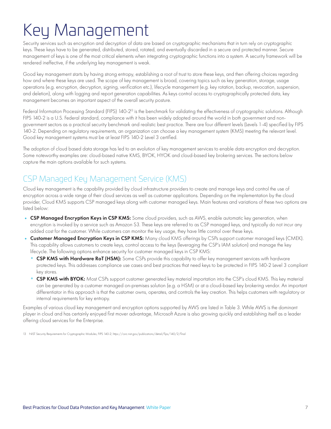# Key Management

Security services such as encryption and decryption of data are based on cryptographic mechanisms that in turn rely on cryptographic keys. These keys have to be generated, distributed, stored, rotated, and eventually discarded in a secure and protected manner. Secure management of keys is one of the most critical elements when integrating cryptographic functions into a system. A security framework will be rendered ineffective, if the underlying key management is weak.

Good key management starts by having strong entropy, establishing a root of trust to store these keys, and then offering choices regarding how and where these keys are used. The scope of key management is broad, covering topics such as key generation, storage, usage operations (e.g. encryption, decryption, signing, verification etc.), lifecycle management (e.g. key rotation, backup, revocation, suspension, and deletion), along with logging and report generation capabilities. As keys control access to cryptographically protected data, key management becomes an important aspect of the overall security posture.

Federal Information Processing Standard (FIPS) 140-2<sup>13</sup> is the benchmark for validating the effectiveness of cryptographic solutions. Although FIPS 140-2 is a U.S. Federal standard, compliance with it has been widely adopted around the world in both government and nongovernment sectors as a practical security benchmark and realistic best practice. There are four different levels (Levels 1-4) specified by FIPS 140-2. Depending on regulatory requirements, an organization can choose a key management system (KMS) meeting the relevant level. Good key management systems must be at least FIPS 140-2 Level 3 certified.

The adoption of cloud based data storage has led to an evolution of key management services to enable data encryption and decryption. Some noteworthy examples are: cloud-based native KMS, BYOK, HYOK and cloud-based key brokering services. The sections below capture the main options available for such systems.

### CSP Managed Key Management Service (KMS)

Cloud key management is the capability provided by cloud infrastructure providers to create and manage keys and control the use of encryption across a wide range of their cloud services as well as customer applications. Depending on the implementation by the cloud provider, Cloud KMS supports CSP managed keys along with customer managed keys. Main features and variations of these two options are listed below:

- CSP Managed Encryption Keys in CSP KMS: Some cloud providers, such as AWS, enable automatic key generation, when encryption is invoked by a service such as Amazon S3. These keys are referred to as CSP managed keys, and typically do not incur any added cost for the customer. While customers can monitor the key usage, they have little control over these keys.
- **Customer Managed Encryption Keys in CSP KMS:** Many cloud KMS offerings by CSPs support customer managed keys (CMEK). This capability allows customers to create keys, control access to the keys (leveraging the CSP's IAM solution) and manage the key lifecycle. The following options enhance security for customer managed keys in CSP KMS:
	- **°** CSP KMS with Hardware RoT (HSM): Some CSPs provide this capability to offer key management services with hardware protected keys. This addresses compliance use cases and best practices that need keys to be protected in FIPS 140-2 Level 3 compliant key stores.
	- **°** CSP KMS with BYOK: Most CSPs support customer generated key material importation into the CSP's cloud KMS. This key material can be generated by a customer managed on-premises solution (e.g. a HSM) or at a cloud-based key brokering vendor. An important differentiator in this approach is that the customer owns, operates, and controls the key creation. This helps customers with regulatory or internal requirements for key entropy.

Examples of various cloud key management and encryption options supported by AWS are listed in Table 3. While AWS is the dominant player in cloud and has certainly enjoyed first mover advantage, Microsoft Azure is also growing quickly and establishing itself as a leader offering cloud services for the Enterprise.

13 NIST Security Requirements for Cryptographic Modules, FIPS 140-2, https://csrc.nist.gov/publications/detail/fips/140/2/final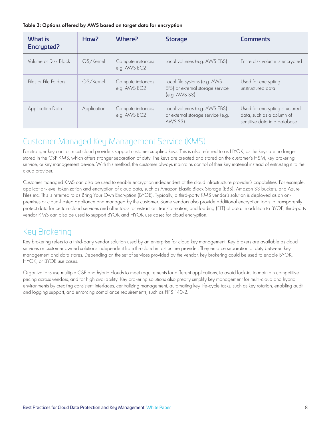#### Table 3: Options offered by AWS based on target data for encryption

| <b>What is</b><br>Encrypted? | How?        | Where?                            | <b>Storage</b>                                                                         | <b>Comments</b>                                                                             |  |
|------------------------------|-------------|-----------------------------------|----------------------------------------------------------------------------------------|---------------------------------------------------------------------------------------------|--|
| Volume or Disk Block         | OS/Kernel   | Compute instances<br>e.g. AWS EC2 | Local volumes (e.g. AWS EBS)                                                           | Entire disk volume is encrypted                                                             |  |
| Files or File Folders        | OS/Kernel   | Compute instances<br>e.g. AWS EC2 | Local file systems (e.g. AWS<br>EFS) or external storage service<br>$(e.g.$ AWS S3 $)$ | Used for encrypting<br>unstructured data                                                    |  |
| Application Data             | Application | Compute instances<br>e.g. AWS EC2 | Local volumes (e.g. AWS EBS)<br>or external storage service (e.g.<br>AWS S3)           | Used for encrypting structured<br>data, such as a column of<br>sensitive data in a database |  |

### Customer Managed Key Management Service (KMS)

For stronger key control, most cloud providers support customer supplied keys. This is also referred to as HYOK, as the keys are no longer stored in the CSP KMS, which offers stronger separation of duty. The keys are created and stored on the customer's HSM, key brokering service, or key management device. With this method, the customer always maintains control of their key material instead of entrusting it to the cloud provider.

Customer managed KMS can also be used to enable encryption independent of the cloud infrastructure provider's capabilities. For example, application-level tokenization and encryption of cloud data, such as Amazon Elastic Block Storage (EBS), Amazon S3 buckets, and Azure Files etc. This is referred to as Bring Your Own Encryption (BYOE). Typically, a third-party KMS vendor's solution is deployed as an onpremises or cloud-hosted appliance and managed by the customer. Some vendors also provide additional encryption tools to transparently protect data for certain cloud services and offer tools for extraction, transformation, and loading (ELT) of data. In addition to BYOE, third-party vendor KMS can also be used to support BYOK and HYOK use cases for cloud encryption.

### Key Brokering

Key brokering refers to a third-party vendor solution used by an enterprise for cloud key management. Key brokers are available as cloud services or customer owned solutions independent from the cloud infrastructure provider. They enforce separation of duty between key management and data stores. Depending on the set of services provided by the vendor, key brokering could be used to enable BYOK, HYOK, or BYOE use cases.

Organizations use multiple CSP and hybrid clouds to meet requirements for different applications, to avoid lock-in, to maintain competitive pricing across vendors, and for high availability. Key brokering solutions also greatly simplify key management for multi-cloud and hybrid environments by creating consistent interfaces, centralizing management, automating key life-cycle tasks, such as key rotation, enabling audit and logging support, and enforcing compliance requirements, such as FIPS 140-2.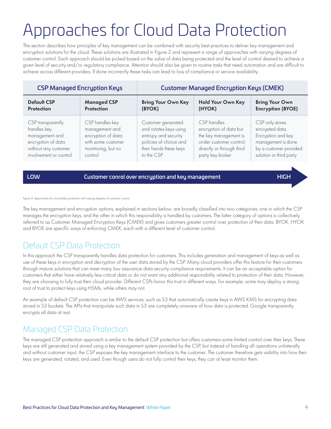# Approaches for Cloud Data Protection

This section describes how principles of key management can be combined with security best practices to deliver key management and encryption solutions for the cloud. These solutions are illustrated in Figure 2 and represent a range of approaches with varying degrees of customer control. Each approach should be picked based on the value of data being protected and the level of control desired to achieve a given level of security and/or regulatory compliance. Attention should also be given to routine tasks that need automation and are difficult to achieve across different providers. If done incorrectly these tasks can lead to loss of compliance or service availability.

| <b>CSP Managed Encryption Keys</b> |                     | <b>Customer Managed Encryption Keys (CMEK)</b> |                           |                          |  |  |
|------------------------------------|---------------------|------------------------------------------------|---------------------------|--------------------------|--|--|
| <b>Default CSP</b>                 | <b>Managed CSP</b>  | <b>Bring Your Own Key</b>                      | <b>Hold Your Own Key</b>  | <b>Bring Your Own</b>    |  |  |
| <b>Protection</b>                  | <b>Protection</b>   | (BYOK)                                         | (HYOK)                    | <b>Encryption (BYOE)</b> |  |  |
| CSP transparently                  | CSP handles key     | Customer generated                             | CSP handles               | CSP only stores          |  |  |
| handles key                        | management and      | and rotates keys using                         | encryption of data but    | encrypted data.          |  |  |
| management and                     | encryption of data; | entropy and security                           | the key management is     | Encryption and key       |  |  |
| encryption of data                 | with some customer  | policies of choice and                         | under customer control;   | management is done       |  |  |
| without any customer               | monitoring, but no  | then hands these keys                          | directly or through third | by a customer provided   |  |  |
| involvement or control             | control             | to the CSP                                     | party key broker          | solution or third party  |  |  |

LOW Customer conrol over encryption and key management HIGH

Figure 2: Approaches for cloud data protection with varying degrees of customer control

The key management and encryption options, explained in sections below, are broadly classified into two categories: one in which the CSP manages the encryption keys, and the other in which this responsibility is handled by customers. The latter category of options is collectively referred to as Customer Managed Encryption Keys (CMEK) and gives customers greater control over protection of their data. BYOK, HYOK and BYOE are specific ways of enforcing CMEK, each with a different level of customer control.

### Default CSP Data Protection

In this approach the CSP transparently handles data protection for customers. This includes generation and management of keys as well as use of these keys in encryption and decryption of the user data stored by the CSP. Many cloud providers offer this feature for their customers through mature solutions that can meet many low assurance data security compliance requirements. It can be an acceptable option for customers that either have relatively less critical data or do not want any additional responsibility related to protection of their data. However, they are choosing to fully trust their cloud provider. Different CSPs honor this trust in different ways. For example, some may deploy a strong root of trust to protect keys using HSMs, while others may not.

An example of default CSP protection can be AWS services, such as S3 that automatically create keys in AWS KMS for encrypting data stored in S3 buckets. The APIs that manipulate such data in S3 are completely unaware of how data is protected. Google transparently encrypts all data at rest.

### Managed CSP Data Protection

The managed CSP protection approach is similar to the default CSP protection but offers customers some limited control over their keys. These keys are still generated and stored using a key management system provided by the CSP, but instead of handling all operations unilaterally and without customer input, the CSP exposes the key management interface to the customer. The customer therefore gets visibility into how their keys are generated, rotated, and used. Even though users do not fully control their keys, they can at least monitor them.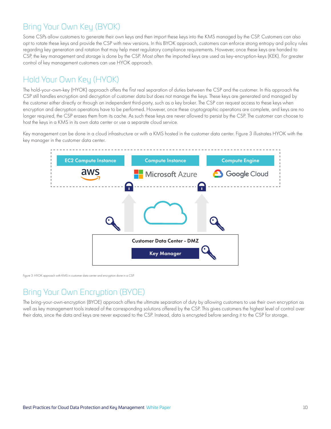### Bring Your Own Key (BYOK)

Some CSPs allow customers to generate their own keys and then import these keys into the KMS managed by the CSP. Customers can also opt to rotate these keys and provide the CSP with new versions. In this BYOK approach, customers can enforce strong entropy and policy rules regarding key generation and rotation that may help meet regulatory compliance requirements. However, once these keys are handed to CSP, the key management and storage is done by the CSP. Most often the imported keys are used as key-encryption-keys (KEK). For greater control of key management customers can use HYOK approach.

#### Hold Your Own Key (HYOK)  $S(\mathsf{U})$

The hold-your-own-key (HYOK) approach offers the first real separation of duties between the CSP and the customer. In this approach the CSP still handles encryption and decryption of customer data but does not manage the keys. These keys are generated and managed by the customer either directly or through an independent third-party, such as a key broker. The CSP can request access to these keys when encryption and decryption operations have to be performed. However, once these cryptographic operations are complete, and keys are no longer required, the CSP erases them from its cache. As such these keys are never allowed to persist by the CSP. The customer can choose to host the keys in a KMS in its own data center or use a separate cloud service.

Key management can be done in a cloud infrastructure or with a KMS hosted in the customer data center. Figure 3 illustrates HYOK with the key manager in the customer data center.



Figure 3: HYOK approach with KMS in customer data center and encryption done in a CSP

### Bring Your Own Encryption (BYOE)

The bring-your-own-encryption (BYOE) approach offers the ultimate separation of duty by allowing customers to use their own encryption as well as key management tools instead of the corresponding solutions offered by the CSP. This gives customers the highest level of control over their data, since the data and keys are never exposed to the CSP. Instead, data is encrypted before sending it to the CSP for storage.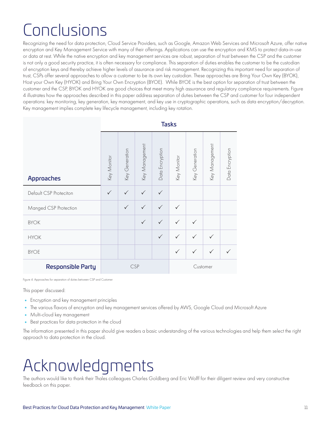# Conclusions

Recognizing the need for data protection, Cloud Service Providers, such as Google, Amazon Web Services and Microsoft Azure, offer native encryption and Key Management Service with many of their offerings. Applications can use the encryption and KMS to protect data-in-use or data at rest. While the native encryption and key management services are robust, separation of trust between the CSP and the customer is not only a good security practice, it is often necessary for compliance. This separation of duties enables the customer to be the custodian of encryption keys and thereby achieve higher levels of assurance and risk management. Recognizing this important need for separation of trust, CSPs offer several approaches to allow a customer to be its own key custodian. These approaches are Bring Your Own Key (BYOK), Host your Own Key (HYOK) and Bring Your Own Encryption (BYOE). While BYOE is the best option for separation of trust between the customer and the CSP, BYOK and HYOK are good choices that meet many high assurance and regulatory compliance requirements. Figure 4 illustrates how the approaches described in this paper address separation of duties between the CSP and customer for four independent operations: key monitoring, key generation, key management, and key use in cryptographic operations, such as data encryption/decryption. Key management implies complete key lifecycle management, including key rotation.

|                          | <b>Tasks</b> |                |                |                 |              |                |                |                 |
|--------------------------|--------------|----------------|----------------|-----------------|--------------|----------------|----------------|-----------------|
| Approaches               | Key Monitor  | Key Generation | Key Management | Data Encryption | Key Monitor  | Key Generation | Key Management | Data Encryption |
| Default CSP Proteciton   | ✓            | $\checkmark$   | ✓              | $\checkmark$    |              |                |                |                 |
| Manged CSP Protection    |              | $\checkmark$   | $\checkmark$   | $\checkmark$    |              |                |                |                 |
| <b>BYOK</b>              |              |                | $\checkmark$   | $\checkmark$    | $\checkmark$ | $\checkmark$   |                |                 |
| <b>HYOK</b>              |              |                |                | $\checkmark$    |              | $\checkmark$   |                |                 |
| <b>BYOE</b>              |              |                |                |                 | $\checkmark$ | $\checkmark$   | $\checkmark$   |                 |
| <b>Responsible Party</b> | <b>CSP</b>   |                |                | Customer        |              |                |                |                 |

Figure 4: Approaches for separation of duties between CSP and Customer

This paper discussed:

- **•** Encryption and key management principles
- **•** The various flavors of encryption and key management services offered by AWS, Google Cloud and Microsoft Azure
- **•** Multi-cloud key management
- **•** Best practices for data protection in the cloud

The information presented in this paper should give readers a basic understanding of the various technologies and help them select the right approach to data protection in the cloud.

# Acknowledgments

The authors would like to thank their Thales colleagues Charles Goldberg and Eric Wolff for their diligent review and very constructive feedback on this paper.